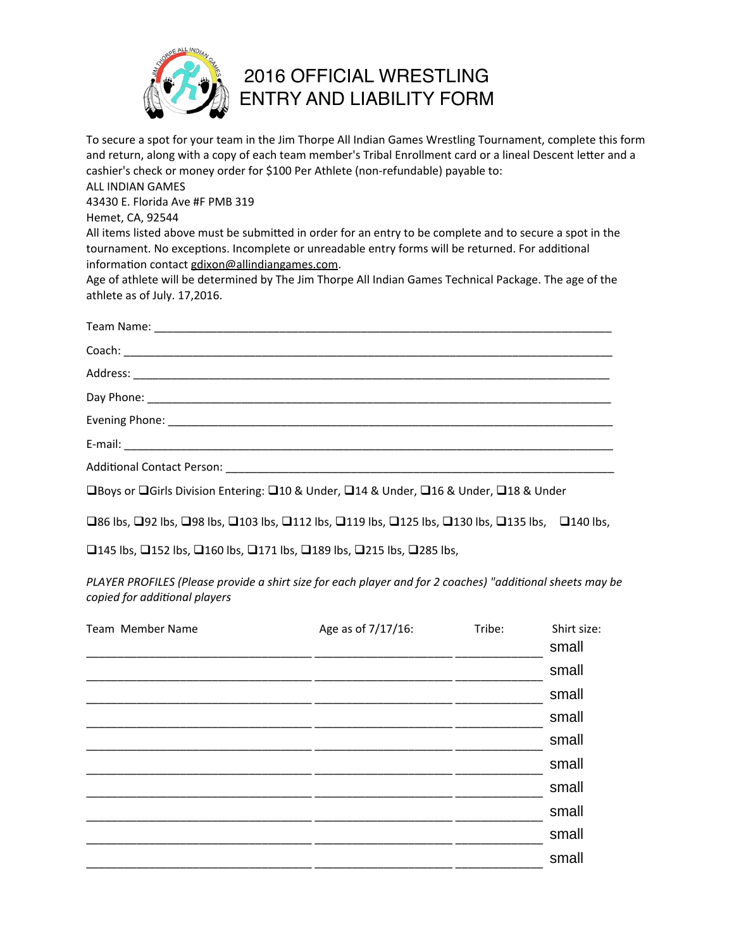

## 2016 OFFICIAL WRESTLING ENTRY AND LIABILITY FORM

To secure a spot for your team in the Jim Thorpe All Indian Games Wrestling Tournament, complete this form and return, along with a copy of each team member's Tribal Enrollment card or a lineal Descent letter and a cashier's check or money order for \$100 Per Athlete (non-refundable) payable to: **ALL INDIAN GAMES** 43430 E. Florida Ave #F PMB 319 

Hemet, CA, 92544

All items listed above must be submitted in order for an entry to be complete and to secure a spot in the tournament. No exceptions. Incomplete or unreadable entry forms will be returned. For additional information contact gdixon@allindiangames.com.

Age of athlete will be determined by The Jim Thorpe All Indian Games Technical Package. The age of the athlete as of July. 17,2016.

| □Boys or □Girls Division Entering: □10 & Under, □14 & Under, □16 & Under, □18 & Under |
|---------------------------------------------------------------------------------------|

 $\square$ 86 lbs,  $\square$ 92 lbs,  $\square$ 98 lbs,  $\square$ 103 lbs,  $\square$ 112 lbs,  $\square$ 119 lbs,  $\square$ 125 lbs,  $\square$ 130 lbs,  $\square$ 135 lbs,  $\square$ 140 lbs,

 $\Box$ 145 lbs,  $\Box$ 152 lbs,  $\Box$ 160 lbs,  $\Box$ 171 lbs,  $\Box$ 189 lbs,  $\Box$ 215 lbs,  $\Box$ 285 lbs,

*PLAYER* PROFILES (Please provide a shirt size for each player and for 2 coaches) "additional sheets may be *copied for additional players* 

| Team Member Name | Age as of 7/17/16: | Tribe: | Shirt size: |
|------------------|--------------------|--------|-------------|
|                  |                    |        | small       |
|                  |                    |        | small       |
|                  |                    |        | small       |
|                  |                    |        | small       |
|                  |                    |        | small       |
|                  |                    |        | small       |
|                  |                    |        | small       |
|                  |                    |        | small       |
|                  |                    |        | small       |
|                  |                    |        | small       |
|                  |                    |        |             |